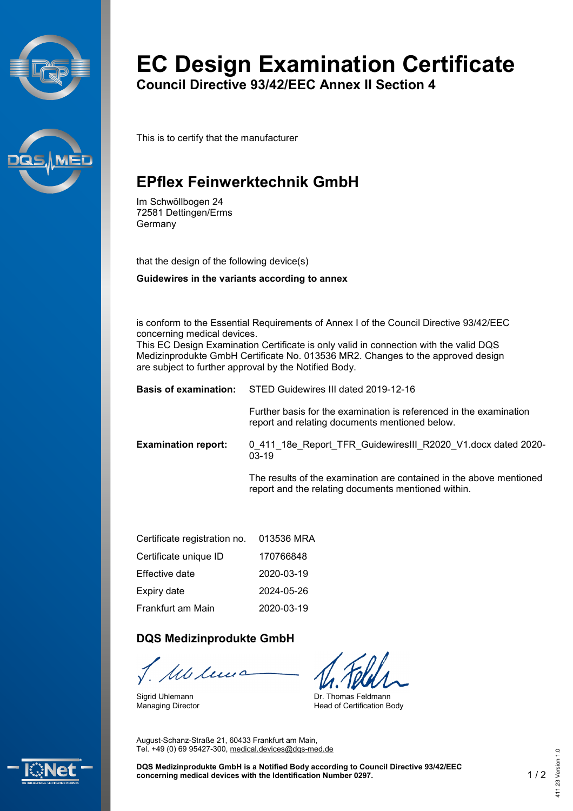



# **EC Design Examination Certificate**

**Council Directive 93/42/EEC Annex II Section 4**

This is to certify that the manufacturer

## **EPflex Feinwerktechnik GmbH**

Im Schwöllbogen 24 72581 Dettingen/Erms Germany

that the design of the following device(s)

**Guidewires in the variants according to annex**

is conform to the Essential Requirements of Annex I of the Council Directive 93/42/EEC concerning medical devices.

This EC Design Examination Certificate is only valid in connection with the valid DQS Medizinprodukte GmbH Certificate No. 013536 MR2. Changes to the approved design are subject to further approval by the Notified Body.

|                            | <b>Basis of examination:</b> STED Guidewires III dated 2019-12-16                                                          |  |
|----------------------------|----------------------------------------------------------------------------------------------------------------------------|--|
|                            | Further basis for the examination is referenced in the examination<br>report and relating documents mentioned below.       |  |
| <b>Examination report:</b> | 0 411 18e Report TFR Guidewires III R2020 V1.docx dated 2020-<br>$03-19$                                                   |  |
|                            | The results of the examination are contained in the above mentioned<br>report and the relating documents mentioned within. |  |

| Certificate registration no. | 013536 MRA |
|------------------------------|------------|
| Certificate unique ID        | 170766848  |
| Effective date               | 2020-03-19 |
| Expiry date                  | 2024-05-26 |
| Frankfurt am Main            | 2020-03-19 |

#### **DQS Medizinprodukte GmbH**

Mb len

Sigrid Uhlemann Managing Director

Dr. Thomas Feldmann Head of Certification Body

August-Schanz-Straße 21, 60433 Frankfurt am Main, Tel. +49 (0) 69 95427-300, [medical.devices@dqs-med.de](mailto:medical.devices@dqs-med.de)



**DQS Medizinprodukte GmbH is a Notified Body according to Council Directive 93/42/EEC concerning medical devices with the Identification Number 0297.** 1 / 2 411.23 Version 1.0